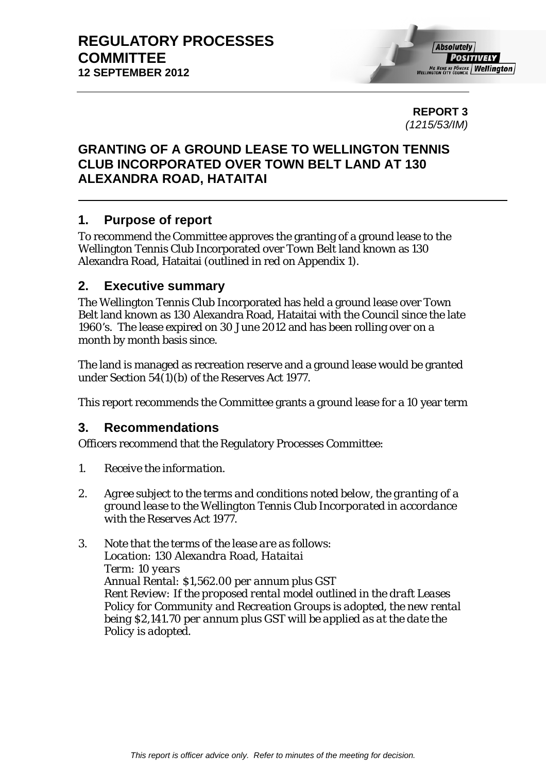**REPORT 3**  *(1215/53/IM)* 

# **GRANTING OF A GROUND LEASE TO WELLINGTON TENNIS CLUB INCORPORATED OVER TOWN BELT LAND AT 130 ALEXANDRA ROAD, HATAITAI**

# **1. Purpose of report**

To recommend the Committee approves the granting of a ground lease to the Wellington Tennis Club Incorporated over Town Belt land known as 130 Alexandra Road, Hataitai (outlined in red on Appendix 1).

# **2. Executive summary**

The Wellington Tennis Club Incorporated has held a ground lease over Town Belt land known as 130 Alexandra Road, Hataitai with the Council since the late 1960's. The lease expired on 30 June 2012 and has been rolling over on a month by month basis since.

The land is managed as recreation reserve and a ground lease would be granted under Section 54(1)(b) of the Reserves Act 1977.

This report recommends the Committee grants a ground lease for a 10 year term

# **3. Recommendations**

Officers recommend that the Regulatory Processes Committee:

- *1. Receive the information.*
- *2. Agree subject to the terms and conditions noted below, the granting of a ground lease to the Wellington Tennis Club Incorporated in accordance with the Reserves Act 1977.*
- *3. Note that the terms of the lease are as follows: Location: 130 Alexandra Road, Hataitai Term: 10 years Annual Rental: \$1,562.00 per annum plus GST Rent Review: If the proposed rental model outlined in the draft Leases Policy for Community and Recreation Groups is adopted, the new rental being \$2,141.70 per annum plus GST will be applied as at the date the Policy is adopted.*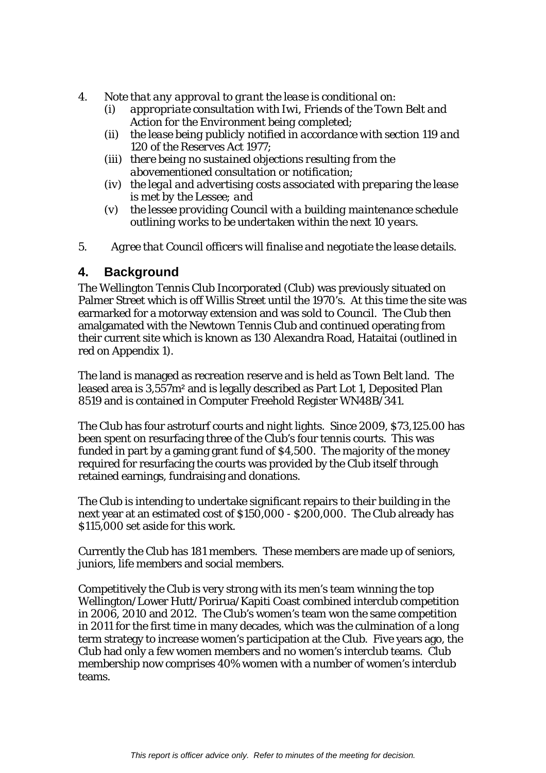- *4. Note that any approval to grant the lease is conditional on:* 
	- *(i) appropriate consultation with Iwi, Friends of the Town Belt and Action for the Environment being completed;*
	- *(ii) the lease being publicly notified in accordance with section 119 and 120 of the Reserves Act 1977;*
	- *(iii) there being no sustained objections resulting from the abovementioned consultation or notification;*
	- *(iv) the legal and advertising costs associated with preparing the lease is met by the Lessee; and*
	- *(v) the lessee providing Council with a building maintenance schedule outlining works to be undertaken within the next 10 years.*
- *5. Agree that Council officers will finalise and negotiate the lease details.*

# **4. Background**

The Wellington Tennis Club Incorporated (Club) was previously situated on Palmer Street which is off Willis Street until the 1970's. At this time the site was earmarked for a motorway extension and was sold to Council. The Club then amalgamated with the Newtown Tennis Club and continued operating from their current site which is known as 130 Alexandra Road, Hataitai (outlined in red on Appendix 1).

The land is managed as recreation reserve and is held as Town Belt land. The leased area is 3,557m² and is legally described as Part Lot 1, Deposited Plan 8519 and is contained in Computer Freehold Register WN48B/341.

The Club has four astroturf courts and night lights. Since 2009, \$73,125.00 has been spent on resurfacing three of the Club's four tennis courts. This was funded in part by a gaming grant fund of \$4,500. The majority of the money required for resurfacing the courts was provided by the Club itself through retained earnings, fundraising and donations.

The Club is intending to undertake significant repairs to their building in the next year at an estimated cost of \$150,000 - \$200,000. The Club already has \$115,000 set aside for this work.

Currently the Club has 181 members. These members are made up of seniors, juniors, life members and social members.

Competitively the Club is very strong with its men's team winning the top Wellington/Lower Hutt/Porirua/Kapiti Coast combined interclub competition in 2006, 2010 and 2012. The Club's women's team won the same competition in 2011 for the first time in many decades, which was the culmination of a long term strategy to increase women's participation at the Club. Five years ago, the Club had only a few women members and no women's interclub teams. Club membership now comprises 40% women with a number of women's interclub teams.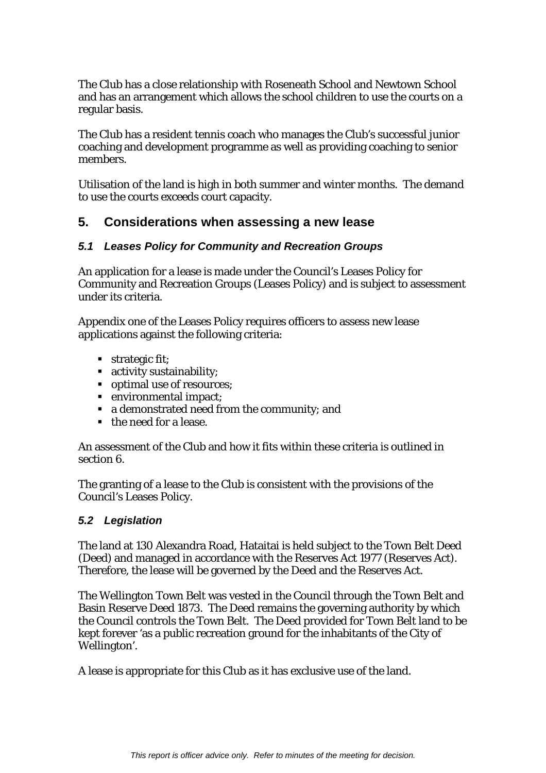The Club has a close relationship with Roseneath School and Newtown School and has an arrangement which allows the school children to use the courts on a regular basis.

The Club has a resident tennis coach who manages the Club's successful junior coaching and development programme as well as providing coaching to senior members.

Utilisation of the land is high in both summer and winter months. The demand to use the courts exceeds court capacity.

# **5. Considerations when assessing a new lease**

### *5.1 Leases Policy for Community and Recreation Groups*

An application for a lease is made under the Council's Leases Policy for Community and Recreation Groups (Leases Policy) and is subject to assessment under its criteria.

Appendix one of the Leases Policy requires officers to assess new lease applications against the following criteria:

- **strategic fit;**
- activity sustainability;
- optimal use of resources;
- environmental impact;
- a demonstrated need from the community; and
- the need for a lease.

An assessment of the Club and how it fits within these criteria is outlined in section 6.

The granting of a lease to the Club is consistent with the provisions of the Council's Leases Policy.

### *5.2 Legislation*

The land at 130 Alexandra Road, Hataitai is held subject to the Town Belt Deed (Deed) and managed in accordance with the Reserves Act 1977 (Reserves Act). Therefore, the lease will be governed by the Deed and the Reserves Act.

The Wellington Town Belt was vested in the Council through the Town Belt and Basin Reserve Deed 1873. The Deed remains the governing authority by which the Council controls the Town Belt. The Deed provided for Town Belt land to be kept forever 'as a public recreation ground for the inhabitants of the City of Wellington'.

A lease is appropriate for this Club as it has exclusive use of the land.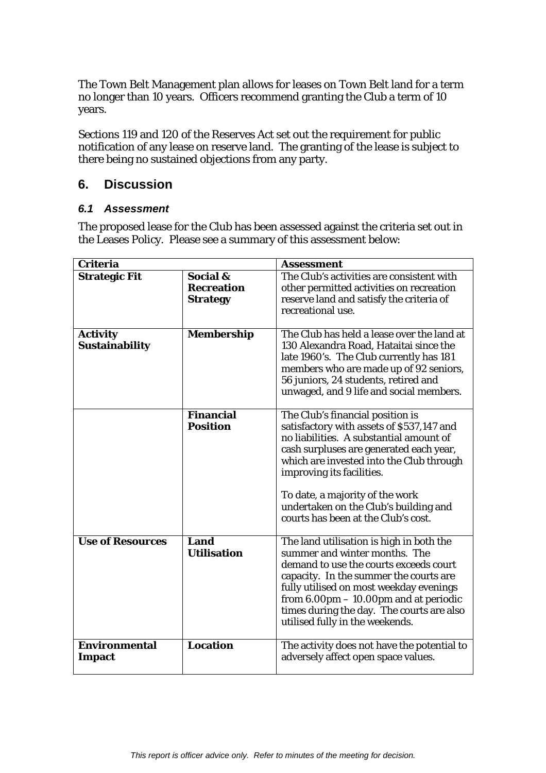The Town Belt Management plan allows for leases on Town Belt land for a term no longer than 10 years. Officers recommend granting the Club a term of 10 years.

Sections 119 and 120 of the Reserves Act set out the requirement for public notification of any lease on reserve land. The granting of the lease is subject to there being no sustained objections from any party.

# **6. Discussion**

### *6.1 Assessment*

The proposed lease for the Club has been assessed against the criteria set out in the Leases Policy. Please see a summary of this assessment below:

| <b>Criteria</b>                          |                                                  | <b>Assessment</b>                                                                                                                                                                                                                                                                                                                                               |
|------------------------------------------|--------------------------------------------------|-----------------------------------------------------------------------------------------------------------------------------------------------------------------------------------------------------------------------------------------------------------------------------------------------------------------------------------------------------------------|
| <b>Strategic Fit</b>                     | Social &<br><b>Recreation</b><br><b>Strategy</b> | The Club's activities are consistent with<br>other permitted activities on recreation<br>reserve land and satisfy the criteria of<br>recreational use.                                                                                                                                                                                                          |
| <b>Activity</b><br><b>Sustainability</b> | <b>Membership</b>                                | The Club has held a lease over the land at<br>130 Alexandra Road, Hataitai since the<br>late 1960's. The Club currently has 181<br>members who are made up of 92 seniors,<br>56 juniors, 24 students, retired and<br>unwaged, and 9 life and social members.                                                                                                    |
|                                          | <b>Financial</b><br><b>Position</b>              | The Club's financial position is<br>satisfactory with assets of \$537,147 and<br>no liabilities. A substantial amount of<br>cash surpluses are generated each year,<br>which are invested into the Club through<br>improving its facilities.<br>To date, a majority of the work<br>undertaken on the Club's building and<br>courts has been at the Club's cost. |
| <b>Use of Resources</b>                  | Land<br><b>Utilisation</b>                       | The land utilisation is high in both the<br>summer and winter months. The<br>demand to use the courts exceeds court<br>capacity. In the summer the courts are<br>fully utilised on most weekday evenings<br>from $6.00 \text{pm} - 10.00 \text{pm}$ and at periodic<br>times during the day. The courts are also<br>utilised fully in the weekends.             |
| Environmental<br><b>Impact</b>           | <b>Location</b>                                  | The activity does not have the potential to<br>adversely affect open space values.                                                                                                                                                                                                                                                                              |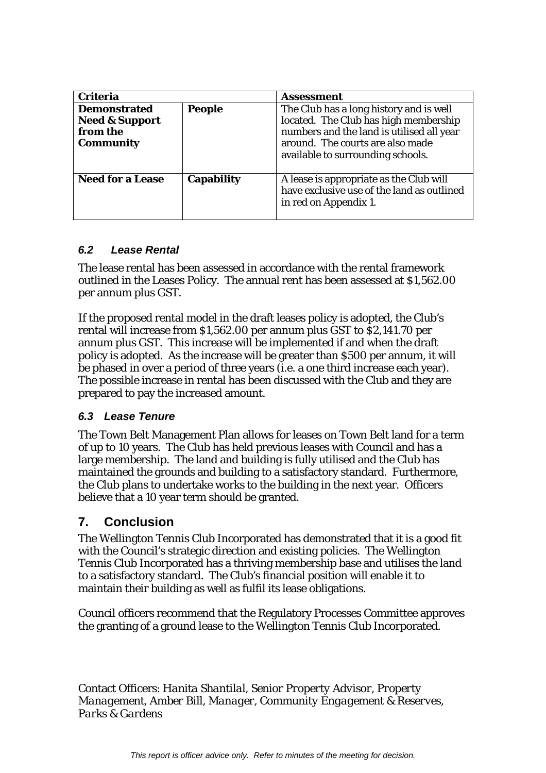| <b>Criteria</b>                                                                  |                   | <b>Assessment</b>                                                                                                                                                                                      |
|----------------------------------------------------------------------------------|-------------------|--------------------------------------------------------------------------------------------------------------------------------------------------------------------------------------------------------|
| <b>Demonstrated</b><br><b>Need &amp; Support</b><br>from the<br><b>Community</b> | <b>People</b>     | The Club has a long history and is well<br>located. The Club has high membership<br>numbers and the land is utilised all year<br>around. The courts are also made<br>available to surrounding schools. |
| <b>Need for a Lease</b>                                                          | <b>Capability</b> | A lease is appropriate as the Club will<br>have exclusive use of the land as outlined<br>in red on Appendix 1.                                                                                         |

### *6.2 Lease Rental*

The lease rental has been assessed in accordance with the rental framework outlined in the Leases Policy. The annual rent has been assessed at \$1,562.00 per annum plus GST.

If the proposed rental model in the draft leases policy is adopted, the Club's rental will increase from \$1,562.00 per annum plus GST to \$2,141.70 per annum plus GST. This increase will be implemented if and when the draft policy is adopted. As the increase will be greater than \$500 per annum, it will be phased in over a period of three years (i.e. a one third increase each year). The possible increase in rental has been discussed with the Club and they are prepared to pay the increased amount.

# *6.3 Lease Tenure*

The Town Belt Management Plan allows for leases on Town Belt land for a term of up to 10 years. The Club has held previous leases with Council and has a large membership. The land and building is fully utilised and the Club has maintained the grounds and building to a satisfactory standard. Furthermore, the Club plans to undertake works to the building in the next year. Officers believe that a 10 year term should be granted.

# **7. Conclusion**

The Wellington Tennis Club Incorporated has demonstrated that it is a good fit with the Council's strategic direction and existing policies. The Wellington Tennis Club Incorporated has a thriving membership base and utilises the land to a satisfactory standard. The Club's financial position will enable it to maintain their building as well as fulfil its lease obligations.

Council officers recommend that the Regulatory Processes Committee approves the granting of a ground lease to the Wellington Tennis Club Incorporated.

Contact Officers: *Hanita Shantilal, Senior Property Advisor, Property Management, Amber Bill, Manager, Community Engagement & Reserves, Parks & Gardens*